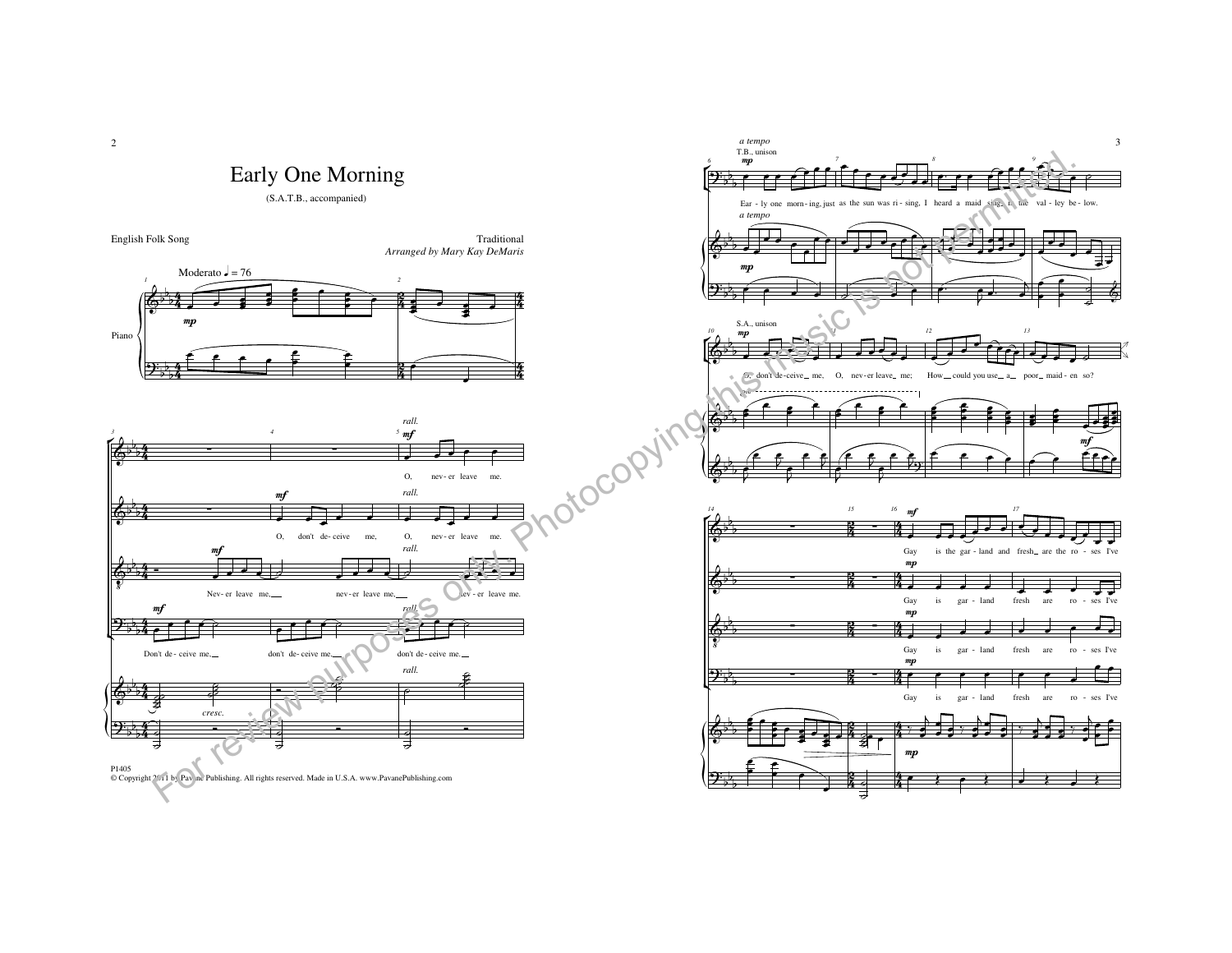

(S.A.T.B., accompanied)

English Folk Song

Traditional*Arranged by Mary Kay DeMaris*





P1405<br>© Copyright <sup>2</sup>/11 by Pav ne Publishing. All rights reserved. Made in U.S.A. www.PavanePublishing.com

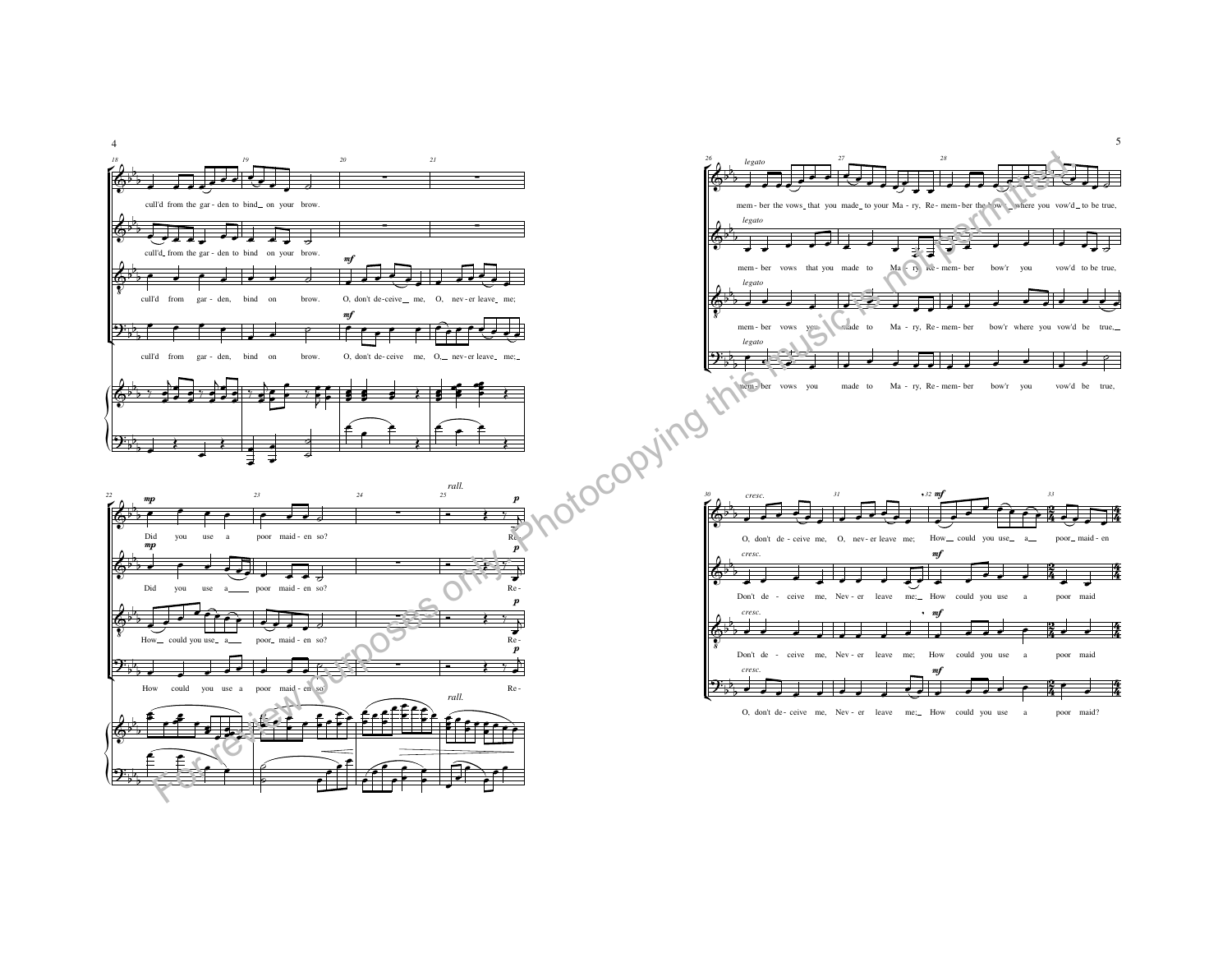

*rall.*

Re- $\overline{A}$ 

-

 $\epsilon$  , then in the state of  $\epsilon$ 

-

 $\mathfrak{P}$ 5

æ <u>. </u>

s æ e æ - æ æ o مب c s

o E 2

 $\frac{2}{9}$ Ь 5

 $\mathfrak{R}$ Б 5 How could you use a poor maid en so?

. — e 48 ю o ø œ æ e o o c a, . e ø e e ø o ££ æ o ⊆₽ o e ⋍∙ S o ∼ ю a ≝ æ e ⊷ ⊵

Ω ю  $^{\circ}$   $^{\circ}$ 

 $\overline{\phantom{a}}$ 

 $\overline{\phantom{a}}$   $\overline{\phantom{a}}$   $\overline{\phantom{a}}$ 

o e o . 0 e . o æ 7 o o æ o . o c

 $\Big\{$ 



5